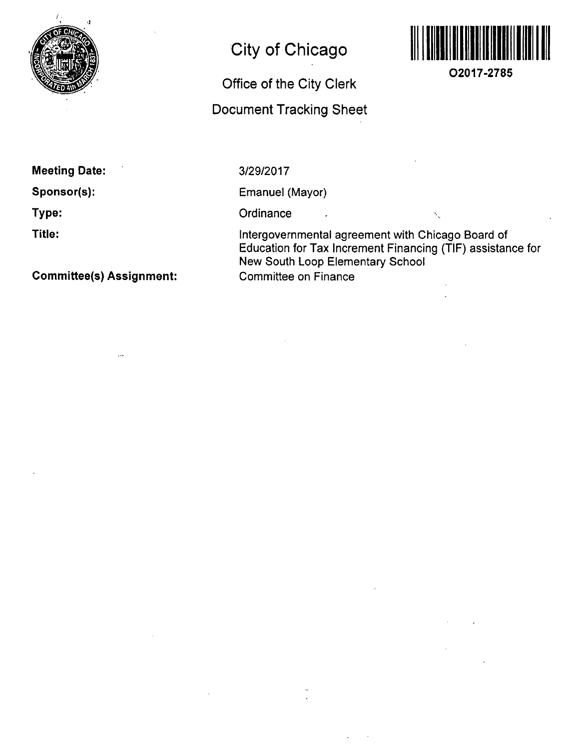

# **City of Chicago**

# **Office of the City Clerk**

## **Document Tracking Sheet**



**O2017-2785** 

**Meeting Date:** 

**Sponsor(s):** 

**Type:** 

**Title:** 

**Committee(s) Assignment:** 

3/29/2017

Emanuel (Mayor)

 $\sim$ 

Ordinance

Intergovernmental agreement with Chicago Board of Education for Tax Increment Financing (TIF) assistance for New South Loop Elementary School Committee on Finance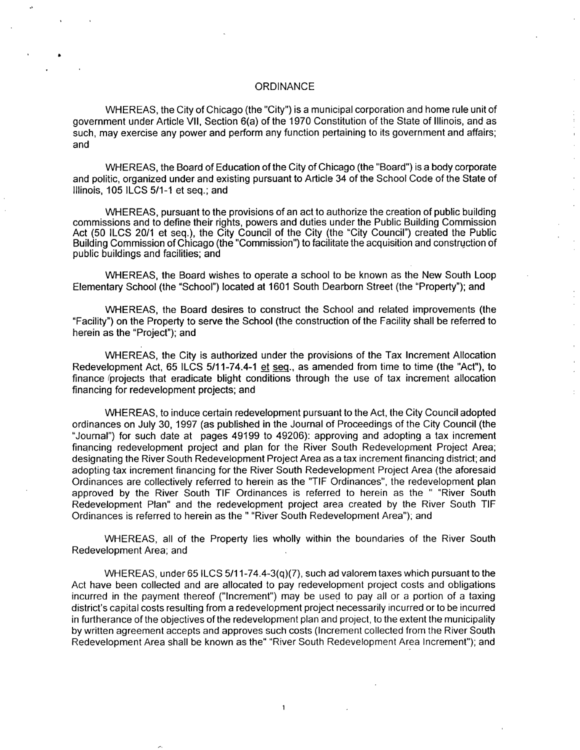#### **ORDINANCE**

WHEREAS, the City of Chicago (the "City") is a municipal corporation and home rule unit of government under Article VII, Section 6(a) of the 1970 Constitution of the State of Illinois, and as such, may exercise any power and perform any function pertaining to its government and affairs; and

WHEREAS, the Board of Education of the City of Chicago (the "Board") is a body corporate and politic, organized under and existing pursuant to Article 34 ofthe School Code ofthe State of Illinois, 105 ILCS 5/1-1 et seq.; and

WHEREAS, pursuant to the provisions of an act to authorize the creation of public building commissions and to define their rights, powers and duties under the Public Building Commission Act (50 ILCS 20/1 et seq.), the City Council of the City (the "City Council") created the Public Building Commission of Chicago (the "Commission") to facilitate the acquisition and construction of public buildings and facilities; and

WHEREAS, the Board wishes to operate a school to be known as the New South Loop Elementary School (the "School") located at 1601 South Dearborn Street (the "Property"); and

WHEREAS, the Board desires to construct the School and related improvements (the "Facility") on the Property to serve the School (the construction ofthe Facility shall be referred to herein as the "Project"); and

WHEREAS, the City is authorized under the provisions of the Tax Increment Allocation Redevelopment Act, 65 ILCS 5/11-74.4-1 et seq.. as amended from time to time (the "Act"), to finance *(projects that eradicate blight conditions through the use of tax increment allocation* financing for redevelopment projects; and

WHEREAS, to induce certain redevelopment pursuant to the Act, the City Council adopted ordinances on July 30, 1997 (as published in the Journal of Proceedings ofthe City Council (the "Journal") for such date at pages 49199 to 49206): approving and adopting a tax increment financing redevelopment project and plan for the River South Redevelopment Project Area; designating the River South Redevelopment Project Area as a tax increment financing district; and adopting tax increment financing forthe River South Redevelopment Project Area (the aforesaid Ordinances are collectively referred to herein as the "TIF Ordinances", the redevelopment plan approved by the River South TIF Ordinances is referred to herein as the " "River South Redevelopment Plan" and the redevelopment project area created by the River South TIF Ordinances is referred to herein as the " "River South Redevelopment Area"); and

WHEREAS, all of the Property lies wholly within the boundaries of the River South Redevelopment Area; and

WHEREAS, under 65 ILCS 5/11-74.4-3(q)(7), such ad valorem taxes which pursuant to the Act have been collected and are allocated to pay redevelopment project costs and obligations incurred in the payment thereof ("Increment") may be used to pay ail or a portion of a taxing district's capital costs resulting from a redevelopment project necessarily incurred or to be incurred in furtherance of the objectives of the redevelopment plan and project, to the extent the municipality by written agreement accepts and approves such costs (Increment collected from the River South Redevelopment Area shall be known as the" "River South Redevelopment Area Increment"); and

 $\mathbf 1$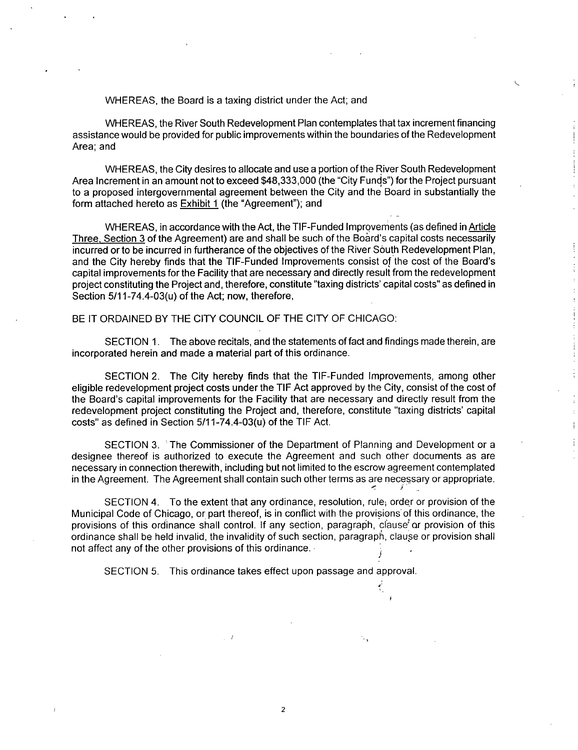WHEREAS, the Board is a taxing district under the Act; and

WHEREAS, the River South Redevelopment Plan contemplates that tax increment financing assistance would be provided for public improvements within the boundaries of the Redevelopment Area; and

WHEREAS, the City desires to allocate and use a portion ofthe River South Redevelopment Area Increment in an amount not to exceed \$48,333,000 (the "City Funds") for the Project pursuant to a proposed intergovernmental agreement between the City and the Board in substantially the form attached hereto as Exhibit 1 (the "Agreement"); and

WHEREAS, in accordance with the Act, the TIF-Funded Improvements (as defined in Article Three, Section 3 of the Agreement) are and shall be such of the Board's capital costs necessarily incurred or to be incurred in furtherance of the objectives of the River South Redevelopment Plan, and the City hereby finds that the TIF-Funded Improvements consist of the cost of the Board's capital improvements for the Facility that are necessary and directly result from the redevelopment project constituting the Project and, therefore, constitute "taxing districts' capital costs" as defined in Section  $5/11-74.4-03(u)$  of the Act; now, therefore,

BE IT ORDAINED BY THE CITY COUNCIL OF THE CITY OF CHICAGO:

SECTION 1. The above recitals, and the statements of fact and findings made therein, are incorporated herein and made a material part of this ordinance.

SECTION 2. The City hereby finds that the TIF-Funded Improvements, among other eligible redevelopment project costs under the TIF Act approved by the City, consist of the cost of the Board's capital improvements for the Facility that are necessary and directly result from the redevelopment project constituting the Project and, therefore, constitute "taxing districts' capital costs" as defined in Section 5/11-74.4-03(u) of the TIF Act.

SECTION 3. The Commissioner of the Department of Planning and Development or a designee thereof is authorized to execute the Agreement and such other documents as are necessary in connection therewith, including but not limited to the escrow agreement contemplated in the Agreement. The Agreement shall contain such other terms as are necessary or appropriate.

SECTION 4. To the extent that any ordinance, resolution, rule; order or provision of the Municipal Code of Chicago, or part thereof, is in conflict with the provisions'of this ordinance, the provisions of this ordinance shall control. If any section, paragraph, clause or provision of this ordinance shall be held invalid, the invalidity of such section, paragraph, clause or provision shall not affect any of the other provisions of this ordinance.

SECTION 5. This ordinance takes effect upon passage and approval.

 $\overline{c}$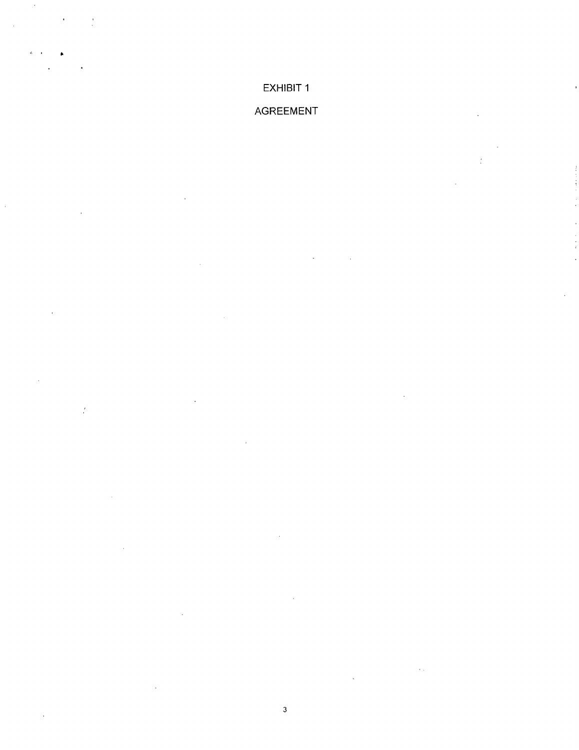## EXHIBIT 1

 $\hat{\mathcal{A}}$ 

 $\ddot{\phantom{a}}$ 

 $\cdot$ 

 $\frac{1}{2}$ 

## AGREEMENT

 $\ddot{\phantom{a}}$ 

 $\frac{1}{2}$ 

 $\bar{\psi}$  .

 $\overline{\mathbf{3}}$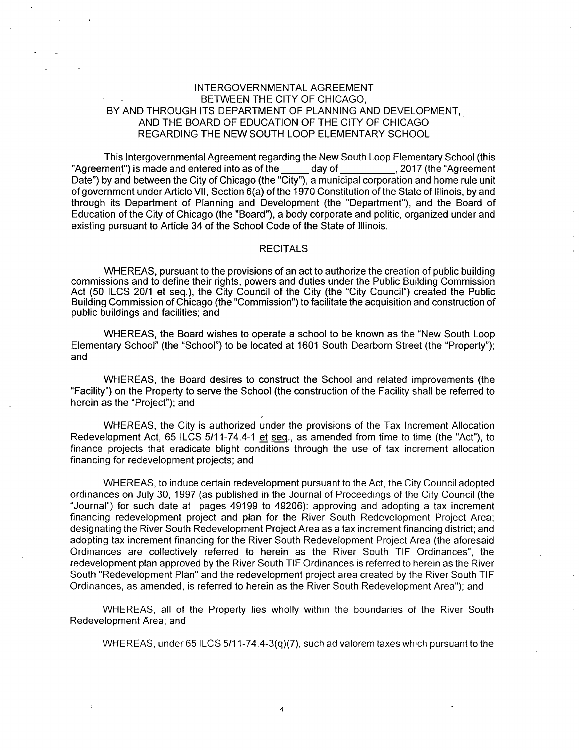#### INTERGOVERNMENTAL AGREEMENT BETWEEN THE CITY OF CHICAGO, BY AND THROUGH ITS DEPARTMENT OF PLANNING AND DEVELOPMENT, AND THE BOARD OF EDUCATION OF THE CITY OF CHICAGO REGARDING THE NEW SOUTH LOOP ELEMENTARY SCHOOL

This Intergovernmental Agreement regarding the New South Loop Elementary School (this "Agreement") is made and entered into as of the \_\_\_\_\_\_ day of \_\_\_\_\_\_\_\_\_\_, 2017 (the "Agreement Date") by and between the City of Chicago (the "City"), a municipal corporation and home rule unit of government under Article Vll, Section 6(a) of the 1970 Constitution of the State of Illinois, by and through its Department of Planning and Development (the "Department"), and the Board of Education of the City of Chicago (the "Board"), a body corporate and politic, organized under and existing pursuant to Article 34 of the School Code of the State of Illinois.

#### **RECITALS**

WHEREAS, pursuant to the provisions of an act to authorize the creation of public building commissions and to define their rights, powers and duties under the Public Building Commission Act (50 ILCS 20/1 et seq.), the City Council of the City (the "City Council") created the Public Building Commission of Chicago (the "Commission") to facilitate the acquisition and construction of public buildings and facilities; and

WHEREAS, the Board wishes to operate a school to be known as the "New South Loop Elementary School" (the "School") to be located at 1601 South Dearbom Street (the "Property"); and

WHEREAS, the Board desires to construct the School and related improvements (the "Facility") on the Property to serve the School (the construction of the Facility shall be referred to herein as the "Project"); and

WHEREAS, the City is authorized under the provisions of the Tax Increment Allocation Redevelopment Act, 65 ILCS 5/11-74.4-1 et seg., as amended from time to time (the "Act"), to finance projects that eradicate blight conditions through the use of tax increment allocation financing for redevelopment projects; and

WHEREAS, to induce certain redevelopment pursuant to the Act, the City Council adopted ordinances on July 30, 1997 (as published in the Journal of Proceedings ofthe City Council (the "Journal") for such date at pages 49199 to 49206): approving and adopting a tax increment financing redevelopment project and plan for the River South Redevelopment Project Area; designating the River South Redevelopment Project Area as a tax increment financing district; and adopting tax increment financing for the River South Redevelopment Project Area (the aforesaid Ordinances are collectively referred to herein as the River South TIF Ordinances", the redevelopment plan approved by the River South TIF Ordinances is referred to herein as the River South "Redevelopment Plan" and the redevelopment project area created by the River South TIF Ordinances, as amended, is referred to herein as the River South Redevelopment Area"); and

WHEREAS, all of the Property lies wholly within the boundaries of the River South Redevelopment Area; and

4

WHEREAS, under 65 ILCS 5/11-74.4-3(q)(7), such ad valorem taxes which pursuant to the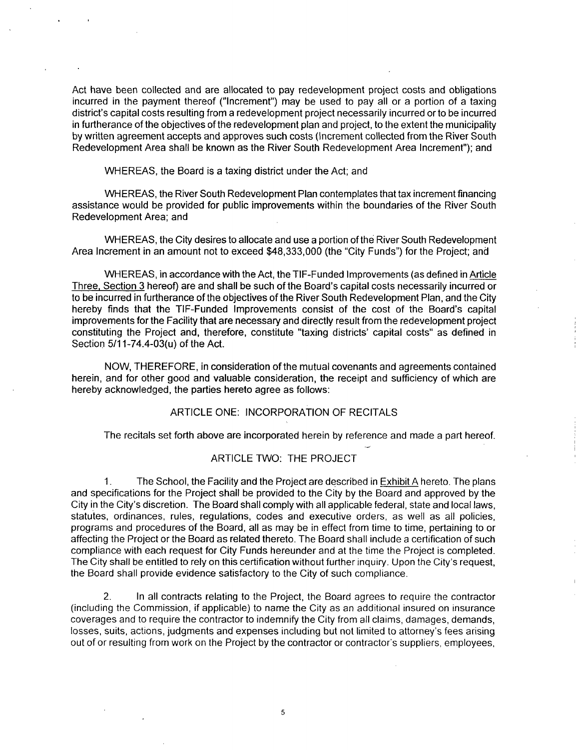Act have been collected and are allocated to pay redevelopment project costs and obligations incurred in the payment thereof ("Increment") may be used to pay all or a portion of a taxing district's capital costs resulting from a redevelopment project necessarily incurred orto be incurred in furtherance of the objectives of the redevelopment plan and project, to the extent the municipality by written agreement accepts and approves such costs (Increment collected from the River South Redevelopment Area shall be known as the River South Redevelopment Area Increment"); and

WHEREAS, the Board is a taxing district under the Act; and

WHEREAS, the River South Redevelopment Plan contemplates that tax increment financing assistance would be provided for public improvements within the boundaries of the River South Redevelopment Area; and

WHEREAS, the City desires to allocate and use a portion ofthe River South Redevelopment Area Increment in an amount not to exceed \$48,333,000 (the "City Funds") for the Project; and

WHEREAS, in accordance with the Act, the TIF-Funded Improvements (as defined in Article Three, Section 3 hereof) are and shall be such of the Board's capital costs necessarily incurred or to be incurred in furtherance of the objectives of the River South Redevelopment Plan, and the City hereby finds that the TIF-Funded Improvements consist of the cost of the Board's capital improvements for the Facility that are necessary and directly result from the redevelopment project constituting the Project and, therefore, constitute "taxing districts' capital costs" as defined in Section 5/11-74.4-03(u) of the Act.

NOW, THEREFORE, in consideration ofthe mutual covenants and agreements contained herein, and for other good and valuable consideration, the receipt and sufficiency of which are hereby acknowledged, the parties hereto agree as follows:

#### ARTICLE ONE: INCORPORATION OF RECITALS

The recitals set forth above are incorporated herein by reference and made a part hereof.

#### ARTICLE TWO: THE PROJECT

1. The School, the Facility and the Project are described in **Exhibit A** hereto. The plans and specifications for the Project shall be provided to the City by the Board and approved by the City in the City's discretion. The Board shall comply with all applicable federal, state and local laws, statutes, ordinances, rules, regulations, codes and executive orders, as well as all policies, programs and procedures of the Board, all as may be in effect from time to time, pertaining to or affecting the Project or the Board as related thereto. The Board shall include a certification of such compliance with each request for City Funds hereunder and at the time the Project is completed. The City shall be entitled to rely on this certification without further inquiry. Upon the City's request, the Board shall provide evidence satisfactory to the City of such compliance.

2. In all contracts relating to the Project, the Board agrees to require the contractor (including the Commission, ifapplicable) to name the City as an additional insured on insurance coverages and to require the contractor to indemnify the City from all claims, damages, demands, losses, suits, actions, judgments and expenses including but not limited to attorney's fees arising out of or resulting from work on the Project by the contractor or contractor's suppliers, employees,

5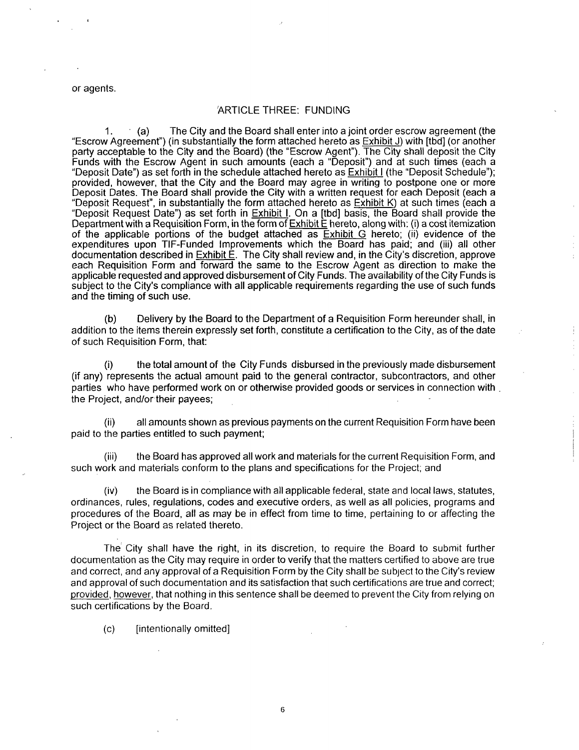or agents.

#### ARTICLE THREE: FUNDING

1. (a) The City and the Board shall enter into a joint order escrow agreement (the "Escrow Agreement") (in substantially the form attached hereto as Exhibit J) with [tbd] (or another party acceptable to the City and the Board) (the "Escrow Agent"). The City shall deposit the City Funds with the Escrow Agent in such amounts (each a "Deposit") and at such times (each a "Deposit Date") as set forth in the schedule attached hereto as Exhibit I (the "Deposit Schedule"); provided, however, that the City and the Board may agree in writing to postpone one or more Deposit Dates. The Board shall provide the City with a written request for each Deposit (each a "Deposit Request", in substantially the form attached hereto as Exhibit K) at such times (each a "Deposit Request Date") as set forth in **Exhibit I**. On a [tbd] basis, the Board shall provide the Department with a Requisition Form, in the form of Exhibit E hereto, along with: (i) a cost itemization of the applicable portions of the budget attached as **Exhibit G** hereto; (ii) evidence of the expenditures upon TIF-Funded Improvements which the Board has paid; and (iii) all other documentation described in  $Ex$ hibit  $E$ . The City shall review and, in the City's discretion, approve each Requisition Form and forward the same to the Escrow Agent as direction to make the applicable requested and approved disbursement of City Funds. The availability ofthe City Funds is subject to the City's compliance with all applicable requirements regarding the use of such funds and the timing of such use.

(b) Delivery by the Board to the Department of a Requisition Form hereunder shall, in addition to the items therein expressly set forth, constitute a certification to the City, as ofthe date of such Requisition Form, that:

(i) the total amount of the City Funds disbursed in the previously made disbursement (if any) represents the actual amount paid to the general contractor, subcontractors, and other parties who have performed work on or otherwise provided goods or services in connection with the Project, and/or their payees;

(ii) all amounts shown as previous payments on the current Requisition Form have been paid to the parties entitled to such payment;

(iii) the Board has approved all work and materials for the current Requisition Form, and such work and materials conform to the plans and specifications for the Project; and

(iv) the Board is in compliance with all applicable federal, state and local laws, statutes, ordinances, rules, regulations, codes and executive orders, as well as all policies, programs and procedures of the Board, all as may be in effect from time to time, pertaining to or affecting the Project or the Board as related thereto.

The City shall have the right, in its discretion, to require the Board to submit further documentation as the City may require in order to verify that the matters certified to above are true and correct, and any approval of a Requisition Form by the City shall be subject to the City's review and approval of such documentation and its satisfaction that such certifications are true and correct; provided, however, that nothing in this sentence shall be deemed to prevent the City from relying on such certifications by the Board.

(c) [intentionally omitted]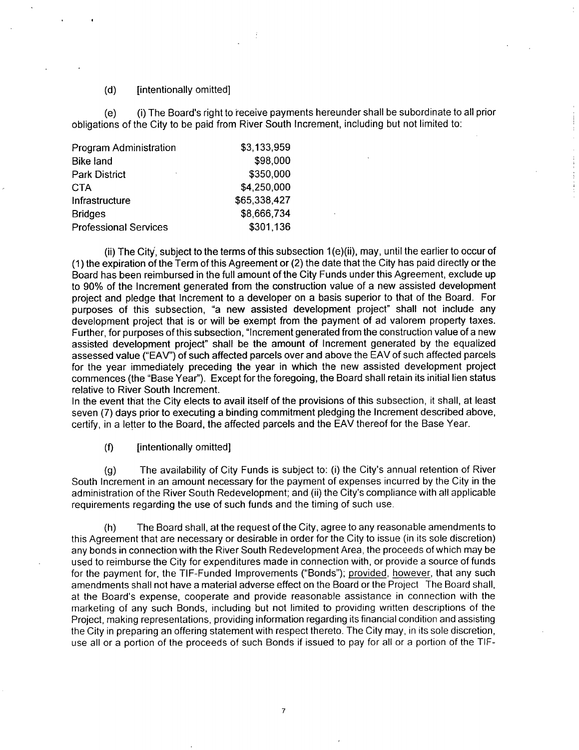#### (d) [intentionally omitted]

(e) (i) The Board's right to receive payments hereunder shall be subordinate to all prior obligations of the City to be paid from River South Increment, including but not limited to:

| Program Administration       | \$3,133,959  |
|------------------------------|--------------|
| <b>Bike land</b>             | \$98,000     |
| <b>Park District</b><br>٠    | \$350,000    |
| CTA                          | \$4,250,000  |
| Infrastructure               | \$65,338,427 |
| <b>Bridges</b>               | \$8,666,734  |
| <b>Professional Services</b> | \$301,136    |

(ii) The City, subject to the terms of this subsection 1 (e)(ii), may, until the earlier to occur of (1) the expiration ofthe Term of this Agreement or (2) the date that the City has paid directly or the Board has been reimbursed in the full amount of the City Funds under this Agreement, exclude up to 90% of the Increment generated from the construction value of a new assisted development project and pledge that Increment to a developer on a basis superior to that of the Board. For purposes of this subsection, "a new assisted development project" shall not include any development project that is or will be exempt from the payment of ad valorem property taxes. Further, for purposes of this subsection, "Increment generated from the construction value ofa new assisted development project" shall be the amount of Increment generated by the equalized assessed value ("EAV") of such affected parcels over and above the EAV of such affected parcels for the year immediately preceding the year in which the new assisted development project commences (the "Base Year"). Except for the foregoing, the Board shall retain its initial lien status relative to River South Increment.

In the event that the City elects to avail itself of the provisions of this subsection, it shall, at least seven (7) days prior to executing a binding commitment pledging the Increment described above, certify, in a letter to the Board, the affected parcels and the EAV thereof for the Base Year.

(f) [intentionally omitted]

(g) The availability of City Funds is subject to: (i) the City's annual retention of River South Increment in an amount necessary for the payment of expenses incurred by the City in the administration of the River South Redevelopment; and (ii) the City's compliance with all applicable requirements regarding the use of such funds and the timing of such use.

(h) The Board shall, at the request ofthe City, agree to any reasonable amendments to this Agreement that are necessary or desirable in order for the City to issue (in its sole discretion) any bonds in connection with the River South Redevelopment Area, the proceeds of which may be used to reimburse the City for expenditures made in connection with, or provide a source of funds for the payment for, the TIF-Funded Improvements ("Bonds"); provided, however, that any such amendments shall not have a material adverse effect on the Board or the Project The Board shall, at the Board's expense, cooperate and provide reasonable assistance in connection with the marketing of any such Bonds, including but not limited to providing wntten descriptions of the Project, making representations, providing information regarding its financial condition and assisting the City in preparing an offering statement with respect thereto. The City may, in its sole discretion, use all or a portion of the proceeds of such Bonds if issued to pay for all or a portion of the TIF-

 $\overline{7}$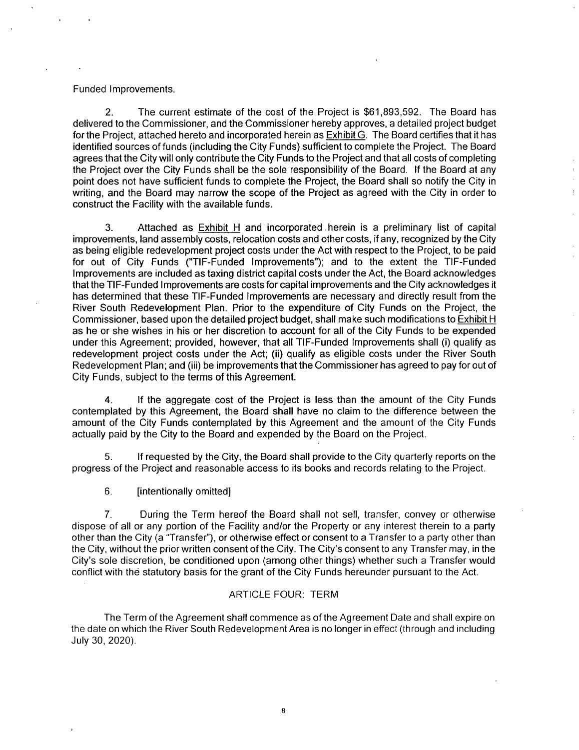#### Funded Improvements.

2. The current estimate of the cost of the Project is \$61,893,592. The Board has delivered to the Commissioner, and the Commissioner hereby approves, a detailed project budget for the Project, attached hereto and incorporated herein as **Exhibit G.** The Board certifies that it has identified sources of funds (including the City Funds) sufficient to complete the Project. The Board agrees that the City will only contribute the City Funds to the Project and that all costs of completing the Project over the City Funds shall be the sole responsibility of the Board. If the Board at any point does not have sufficient funds to complete the Project, the Board shall so notify the City in writing, and the Board may narrow the scope of the Project as agreed with the City in order to construct the Facility with the available funds.

3. Attached as **Exhibit H** and incorporated herein is a preliminary list of capital improvements, land assembly costs, relocation costs and other costs, if any, recognized by the City as being eligible redevelopment project costs under the Act with respect to the Project, to be paid for out of City Funds ('TIF-Funded Improvements"); and to the extent the TIF-Funded Improvements are included as taxing district capital costs under the Act, the Board acknowledges that the TIF-Funded Improvements are costs for capital improvements and the City acknowledges it has determined that these TIF-Funded Improvements are necessary and directly result from the River South Redevelopment Plan. Prior to the expenditure of City Funds on the Project, the Commissioner, based upon the detailed project budget, shall make such modifications to Exhibit H as he or she wishes in his or her discretion to account for all of the City Funds to be expended under this Agreement; provided, however, that all TIF-Funded Improvements shall (i) qualify as redevelopment project costs under the Act; (ii) qualify as eligible costs under the River South Redevelopment Plan; and (iii) be improvements that the Commissioner has agreed to pay for out of City Funds, subject to the terms of this Agreement.

4. If the aggregate cost of the Project is less than the amount of the City Funds contemplated by this Agreement, the Board shall have no claim to the difference between the amount of the City Funds contemplated by this Agreement and the amount of the City Funds actually paid by the City to the Board and expended by the Board on the Project.

5. If requested by the City, the Board shall provide to the City quarterly reports on the progress of the Project and reasonable access to its books and records relating to the Project.

6. [intentionally omitted]

7. During the Term hereof the Board shall not sell, transfer, convey or otherwise dispose of all or any portion of the Facility and/or the Property or any interest therein to a party other than the City (a "Transfer"), or otherwise effect or consent to a Transfer to a party other than the City, without the prior written consent of the City. The City's consent to any Transfer may, in the City's sole discretion, be conditioned upon (among other things) whether such a Transfer would conflict with the statutory basis for the grant of the City Funds hereunder pursuant to the Act.

#### ARTICLE FOUR: TERM

The Term of the Agreement shall commence as of the Agreement Date and shall expire on the date on which the River South Redevelopment Area is no longer in effect (through and including July 30, 2020).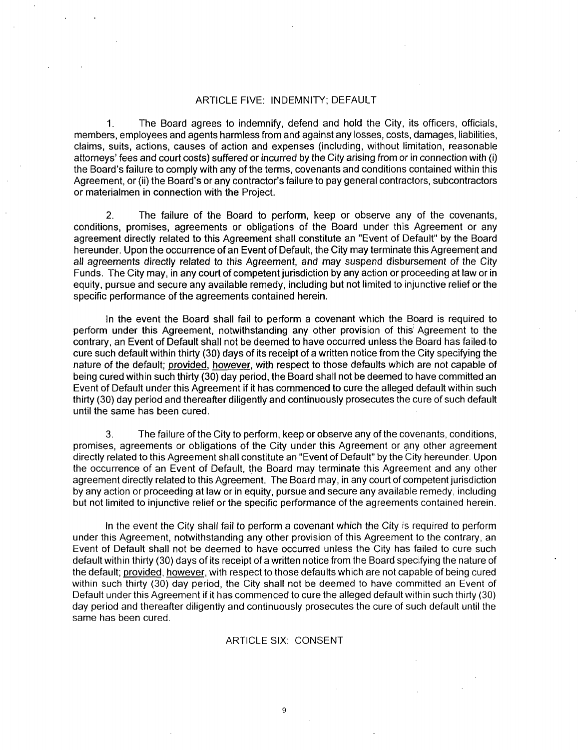#### ARTICLE FIVE: INDEMNITY; DEFAULT

1. The Board agrees to indemnify, defend and hold the City, its officers, officials, members, employees and agents harmless from and against any losses, costs, damages, liabilities, claims, suits, actions, causes of action and expenses (including, without limitation, reasonable attorneys' fees and court costs) suffered or incurred by the City arising from or in connection with (i) the Board's failure to comply with any of the terms, covenants and conditions contained within this Agreement, or (ii) the Board's or any contractor's failure to pay general contractors, subcontractors or materialmen in connection with the Project.

2. The failure of the Board to perform, keep or observe any of the covenants, conditions, promises, agreements or obligations of the Board under this Agreement or any agreement directly related to this Agreement shall constitute an "Event of Default" by the Board hereunder. Upon the occurrence of an Event of Default, the City may terminate this Agreement and all agreements directly related to this Agreement, and may suspend disbursement of the City Funds. The City may, in any court of competent jurisdiction by any action or proceeding at law or in equity, pursue and secure any available remedy, including but not limited to injunctive relief orthe specific performance of the agreements contained herein.

In the event the Board shall fail to perform a covenant which the Board is required to perform under this Agreement, notwithstanding any other provision of this Agreement to the contrary, an Event of Default shall not be deemed to have occurred unless the Board has failed to cure such default within thirty (30) days of its receipt of a written notice from the City specifying the nature of the default; provided, however, with respect to those defaults which are not capable of being cured within such thirty (30) day period, the Board shall not be deemed to have committed an Event of Default under this Agreement if it has commenced to cure the alleged default within such thirty (30) day period and thereafter diligently and continuously prosecutes the cure of such default until the same has been cured.

3. The failure of the City to perform, keep or observe any of the covenants, conditions, promises, agreements or obligations of the City under this Agreement or any other agreement directly related to this Agreement shall constitute an "Event of Default" by the City hereunder. Upon the occurrence of an Event of Default, the Board may terminate this Agreement and any other agreement directly related to this Agreement. The Board may, in any court of competent jurisdiction by any action or proceeding at law or in equity, pursue and secure any available remedy, including but not limited to injunctive relief or the specific performance of the agreements contained herein.

In the event the City shall fail to perform a covenant which the City is required to perform under this Agreement, notwithstanding any other provision of this Agreement to the contrary, an Event of Default shall not be deemed to have occurred unless the City has failed to cure such default within thirty (30) days of its receipt of a written notice from the Board specifying the nature of the default; provided, however, with respect to those defaults which are not capable of being cured within such thirty (30) day period, the City shall not be deemed to have committed an Event of Default under this Agreement if it has commenced to cure the alleged default within such thirty (30) day period and thereafter diligently and continuously prosecutes the cure of such default until the same has been cured.

#### ARTICLE SIX: CONSENT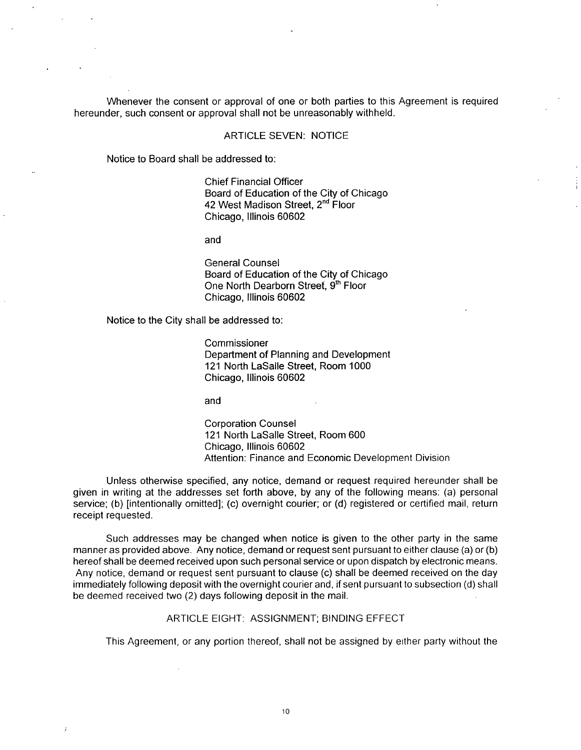Whenever the consent or approval of one or both parties to this Agreement is required hereunder, such consent or approval shall not be unreasonably withheld.

#### ARTICLE SEVEN: NOTICE

Notice to Board shall be addressed to:

Chief Financial Officer Board of Education of the City of Chicago 42 West Madison Street, 2<sup>nd</sup> Floor Chicago, Illinois 60602

and

General Counsel Board of Education of the City of Chicago One North Dearborn Street, 9th Floor Chicago, Illinois 60602

Notice to the City shall be addressed to:

Commissioner Department of Planning and Development 121 North LaSalle Street, Room 1000 Chicago, Illinois 60602

and

Corporation Counsel 121 North LaSalle Street, Room 600 Chicago, Illinois 60602 Attention: Finance and Economic Development Division

Unless othenwise specified, any notice, demand or request required hereunder shall be given in writing at the addresses set forth above, by any of the following means: (a) personal service; (b) [intentionally omitted]; (c) overnight courier; or (d) registered or certified mail, return receipt requested.

Such addresses may be changed when notice is given to the other party in the same manner as provided above. Any notice, demand or request sent pursuant to either clause (a) or (b) hereof shall be deemed received upon such personal service or upon dispatch by electronic means. Any notice, demand or request sent pursuant to clause (c) shall be deemed received on the day immediately following deposit with the overnight courier and, if sent pursuant to subsection (d) shall be deemed received two (2) days following deposit in the mail.

#### ARTICLE EIGHT: ASSIGNMENT; BINDING EFFECT

This Agreement, or any portion thereof, shall not be assigned by either party without the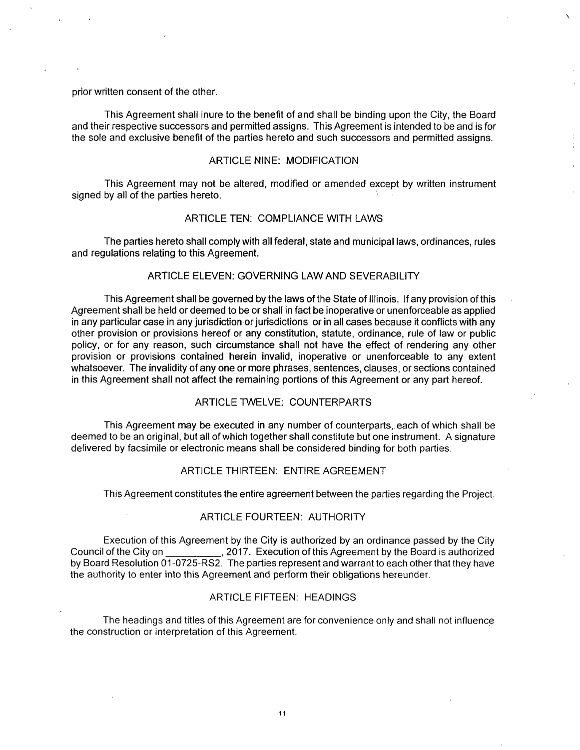prior written consent of the other.

This Agreement shall inure to the benefit of and shall be binding upon the City, the Board and their respective successors and permitted assigns. This Agreement is intended to be and is for the sole and exclusive benefit of the parties hereto and such successors and permitted assigns.

#### ARTICLE NINE: MODIFICATION

This Agreement may not be altered, modified or amended except by written instrument signed by all of the parties hereto.

#### ARTICLE TEN: COMPLIANCE WITH LAWS

The parties hereto shall comply with all federal, state and municipal laws, ordinances, rules and regulations relating to this Agreement.

#### ARTICLE ELEVEN: GOVERNING LAW AND SEVERABILITY

This Agreement shall be governed by the laws ofthe State of Illinois. If any provision of this Agreement shall be held or deemed to be or shall in fact be inoperative or unenforceable as applied in any particular case in any jurisdiction or jurisdictions or in all cases because it conflicts with any other provision or provisions hereof or any constitution, statute, ordinance, rule of law or public policy, or for any reason, such circumstance shall not have the effect of rendering any other provision or provisions contained herein invalid, inoperative or unenforceable to any extent whatsoever. The invalidity of any one or more phrases, sentences, clauses, or sections contained in this Agreement shall not affect the remaining portions of this Agreement or any part hereof.

#### ARTICLE TWELVE: COUNTERPARTS

This Agreement may be executed in any number of counterparts,, each of which shall be deemed to be an original, but all of which together shall constitute but one instrument. A signature delivered by facsimile or electronic means shall be considered binding for both parties.

#### ARTICLE THIRTEEN: ENTIRE AGREEMENT

This Agreement constitutes the entire agreement between the parties regarding the Project.

#### ARTICLE FOURTEEN: AUTHORITY

Execution of this Agreement by the City is authorized by an ordinance passed by the City Council of the City on , 2017. Execution of this Agreement by the Board is authorized by Board Resolution 01-0725-RS2. The parties represent and warrant to each other that they have the authority to enter into this Agreement and perform their obligations hereunder.

#### ARTICLE FIFTEEN: HEADINGS

The headings and titles of this Agreement are for convenience only and shall not influence the construction or interpretation of this Agreement.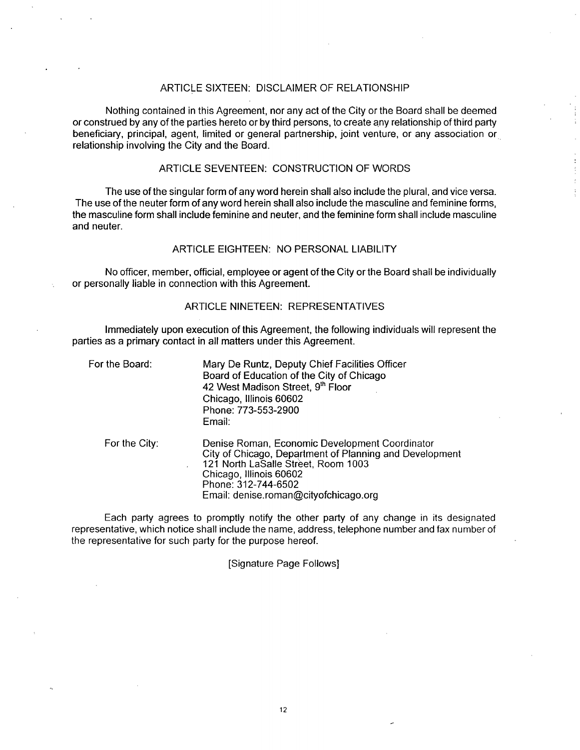#### ARTICLE SIXTEEN: DISCLAIMER OF RELATIONSHIP

Nothing contained in this Agreement, nor any act of the City or the Board shall be deemed or construed by any ofthe parties hereto or by third persons, to create any relationship of third party beneficiary, principal, agent, limited or general partnership, joint venture, or any association or relationship involving the City and the Board.

#### ARTICLE SEVENTEEN: CONSTRUCTION OF WORDS

The use ofthe singular form of any word herein shall also include the plural, and vice versa. The use of the neuter form of any word herein shall also include the masculine and feminine forms, the masculine form shall include feminine and neuter, and the feminine form shall include masculine and neuter.

#### ARTICLE EIGHTEEN: NO PERSONAL LIABILITY

No officer, member, official, employee or agent of the City or the Board shall be individually or personally liable in connection with this Agreement.

#### ARTICLE NINETEEN: REPRESENTATIVES

Immediately upon execution of this Agreement, the following individuals will represent the parties as a primary contact in all matters under this Agreement.

| For the Board: | Mary De Runtz, Deputy Chief Facilities Officer<br>Board of Education of the City of Chicago<br>42 West Madison Street, 9th Floor<br>Chicago, Illinois 60602<br>Phone: 773-553-2900<br>Email:                                                |
|----------------|---------------------------------------------------------------------------------------------------------------------------------------------------------------------------------------------------------------------------------------------|
| For the City:  | Denise Roman, Economic Development Coordinator<br>City of Chicago, Department of Planning and Development<br>121 North LaSalle Street, Room 1003<br>Chicago, Illinois 60602<br>Phone: 312-744-6502<br>Email: denise.roman@cityofchicago.org |

Each party agrees to promptly notify the other party of any change in its designated representative, which notice shall include the name, address, telephone number and fax number of the representative for such party for the purpose hereof.

[Signature Page Follows]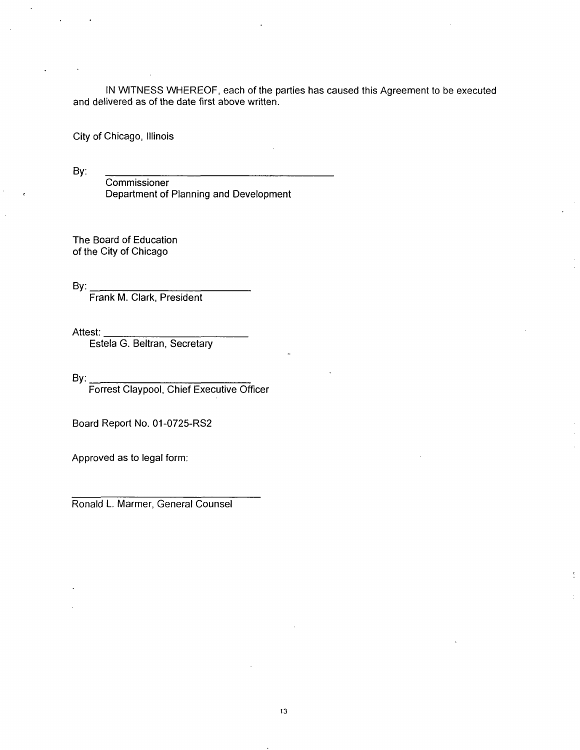IN WITNESS WHEREOF, each of the parties has caused this Agreement to be executed and delivered as of the date first above written.

City of Chicago, Illinois

By:

**Commissioner** Department of Planning and Development

The Board of Education of the City of Chicago

By:

Frank M. Clark, President

Attest:

Estela G. Beltran, Secretary

By: Forrest Claypool, Chief Executive Officer

Board Report No. 01-0725-RS2

Approved as to legal form:

Ronald L. Marmer, General Counsel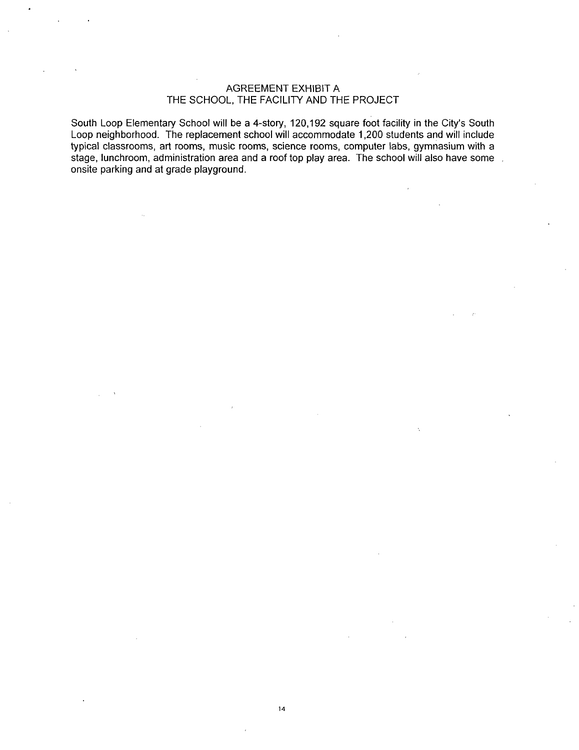#### AGREEMENT EXHIBIT A THE SCHOOL, THE FACILITY AND THE PROJECT

South Loop Elementary School will be a 4-story, 120,192 square foot facility in the City's South Loop neighborhood. The replacement school will accommodate 1,200 students and will include typical classrooms, art rooms, music rooms, science rooms, computer labs, gymnasium with a stage, lunchroom, administration area and a roof top play area. The school will also have some onsite parking and at grade playground.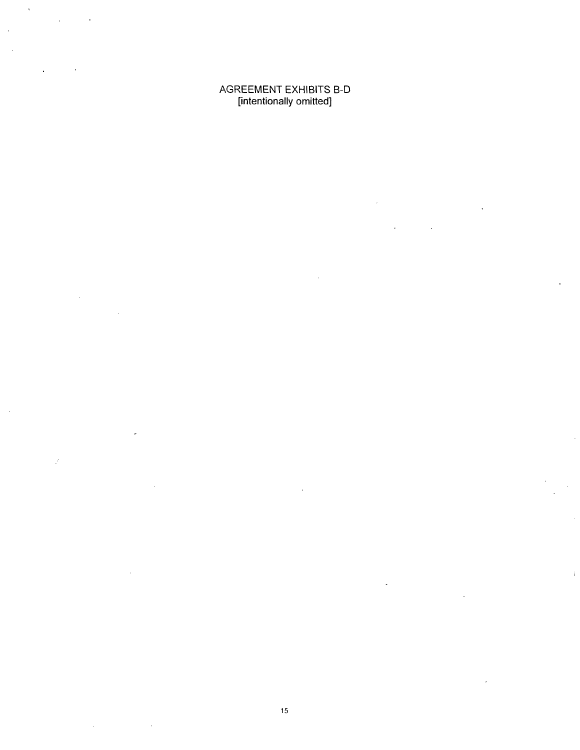AGREEMENT EXHIBITS B-D [intentionally omitted]

l.

 $\mathcal{L}$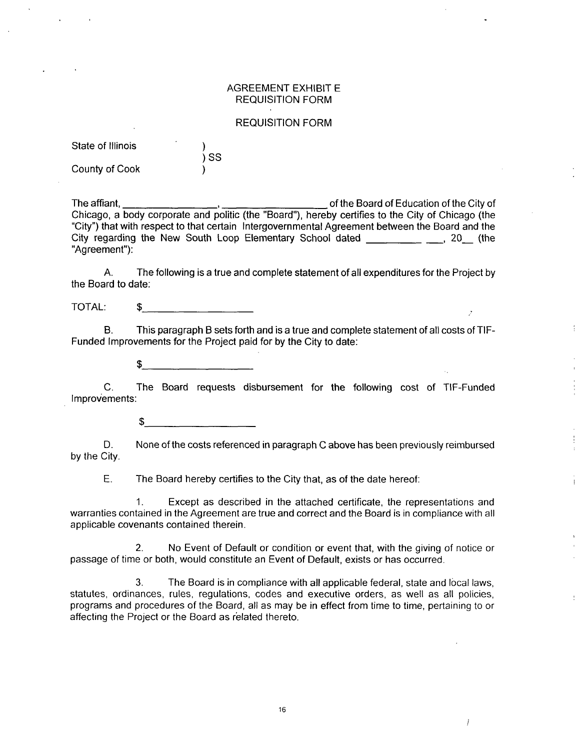#### AGREEMENT EXHIBIT E REQUISITION FORM

#### REQUISITION FORM

| State of Illinois |      |
|-------------------|------|
|                   | ) SS |
| County of Cook    |      |

The affiant, The affiant,  $\sim$ ,  $\sim$  of the Board of Education of the City of Chicago, a body corporate and politic (the "Board"), hereby certifies to the City of Chicago (the "City") that with respect to that certain Intergovernmental Agreement between the Board and the City regarding the New South Loop Elementary School dated \_\_\_\_\_\_\_\_\_ \_\_, 20 (the "Agreement"):

A. The following is a true and complete statement of all expenditures for the Project by the Board to date:

TOTAL: \$

B. This paragraph B sets forth and is a true and complete statement of all costs of TIF-Funded Improvements for the Project paid for by the City to date:

÷

Ť

 $\overline{I}$ 

\$

C. The Board requests disbursement for the following cost of TIF-Funded Improvements:

 $$^{\circ}$ 

D. None ofthe costs referenced in paragraph C above has been previously reimbursed by the City.

E. The Board hereby certifies to the City that, as of the date hereof:

1. Except as described in the attached certificate, the representations and warranties contained in the Agreement are true and correct and the Board is in compliance with all applicable covenants contained therein.

2. No Event of Default or condition or event that, with the giving of notice or passage of time or both, would constitute an Event of Default, exists or has occurred.

3. The Board is in compliance with all applicable federal, state and local laws, statutes, ordinances, rules, regulations, codes and executive orders, as well as all policies, programs and procedures of the Board, all as may be in effect from time to time, pertaining to or affecting the Project or the Board as related thereto.

**16**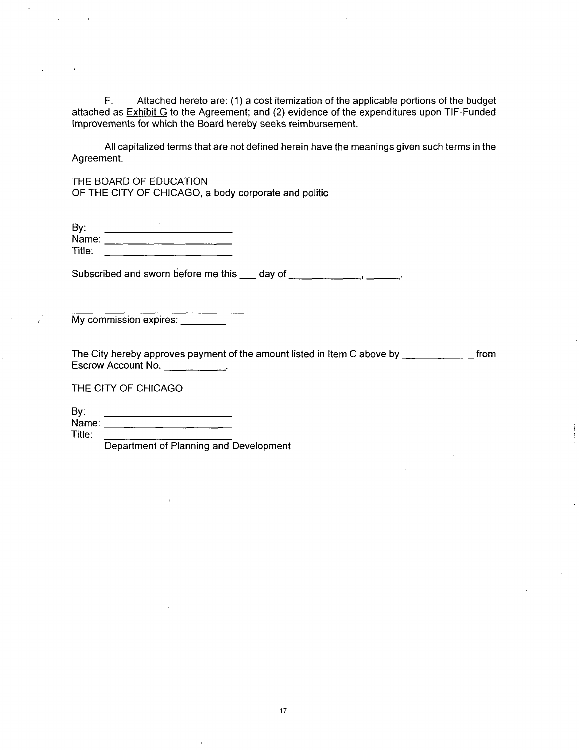F. Attached hereto are: (1) a cost itemization of the applicable portions of the budget attached as Exhibit G to the Agreement; and (2) evidence of the expenditures upon TIF-Funded Improvements for which the Board hereby seeks reimbursement.

All capitalized terms that are not defined herein have the meanings given such terms in the Agreement.

THE BOARD OF EDUCATION OF THE CITY OF CHICAGO, a body corporate and politic

| By:    |  |
|--------|--|
| Name:  |  |
| Title: |  |

Subscribed and sworn before me this \_\_\_ day of \_\_\_\_\_\_\_\_\_\_\_\_\_\_\_\_\_\_\_\_\_\_\_\_\_\_\_\_\_\_\_\_\_\_

My commission expires: \_\_\_\_\_\_

The City hereby approves payment of the amount listed in Item C above by  $\frac{1}{\sqrt{1-\frac{1}{n}}}\frac{1}{\sqrt{1-\frac{1}{n}}}\frac{1}{\sqrt{1-\frac{1}{n}}}\frac{1}{\sqrt{1-\frac{1}{n}}}\frac{1}{\sqrt{1-\frac{1}{n}}}\frac{1}{\sqrt{1-\frac{1}{n}}}\frac{1}{\sqrt{1-\frac{1}{n}}}\frac{1}{\sqrt{1-\frac{1}{n}}}\frac{1}{\sqrt{1-\frac{1}{n}}}\frac{$ Escrow Account No. <u>. . . . . . . . . .</u> .

THE CITY OF CHICAGO

By: Name:

Title:

Ť

Department of Planning and Development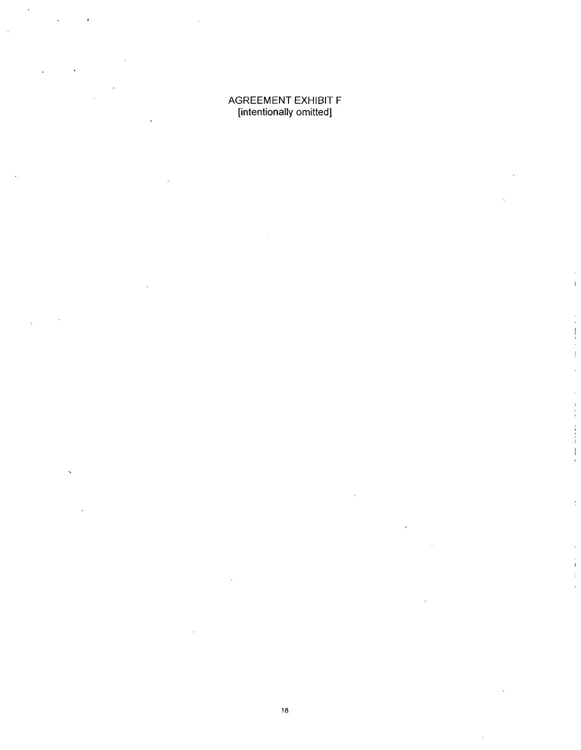#### AGREEMENT EXHIBIT F [intentionally omitted]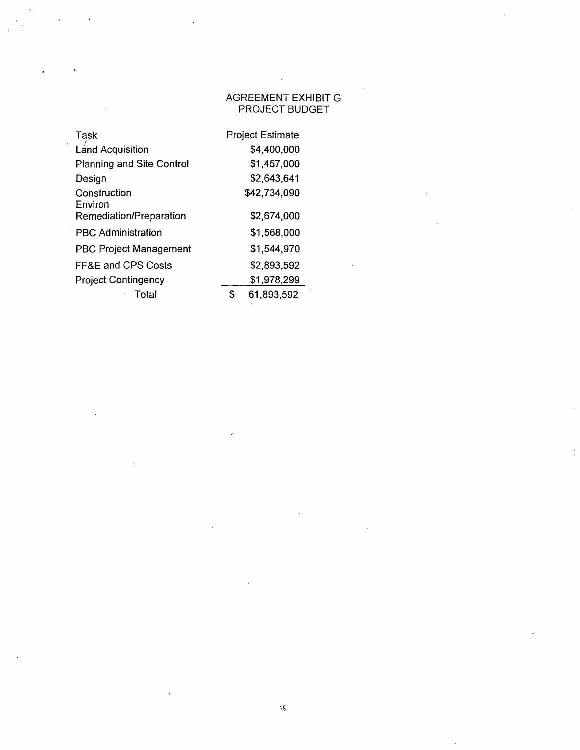## AGREEMENT EXHIBIT G PROJECT BUDGET

| Task                             |   | <b>Project Estimate</b> |
|----------------------------------|---|-------------------------|
| <b>Land Acquisition</b>          |   | \$4,400,000             |
| <b>Planning and Site Control</b> |   | \$1,457,000             |
| Design                           |   | \$2,643,641             |
| Construction<br>Environ          |   | \$42,734,090            |
| Remediation/Preparation          |   | \$2,674,000             |
| <b>PBC Administration</b>        |   | \$1,568,000             |
| <b>PBC Project Management</b>    |   | \$1,544,970             |
| <b>FF&amp;E and CPS Costs</b>    |   | \$2,893,592             |
| <b>Project Contingency</b>       |   | \$1,978,299             |
| Total                            | S | 61,893,592              |

 $\lambda$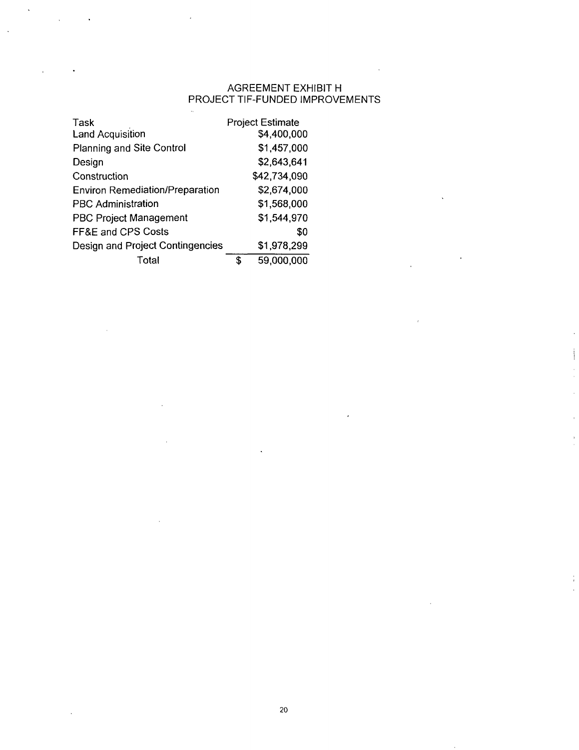## AGREEMENT EXHIBIT H PROJECT TIF-FUNDED IMPROVEMENTS

| Task<br>Land Acquisition                |   | <b>Project Estimate</b><br>\$4,400,000 |
|-----------------------------------------|---|----------------------------------------|
| <b>Planning and Site Control</b>        |   | \$1,457,000                            |
| Design                                  |   | \$2,643,641                            |
| Construction                            |   | \$42,734,090                           |
| <b>Environ Remediation/Preparation</b>  |   | \$2,674,000                            |
| <b>PBC Administration</b>               |   | \$1,568,000                            |
| <b>PBC Project Management</b>           |   | \$1,544,970                            |
| <b>FF&amp;E and CPS Costs</b>           |   | \$0                                    |
| <b>Design and Project Contingencies</b> |   | \$1,978,299                            |
| Total                                   | S | 59,000,000                             |

J.

 $\bar{u}$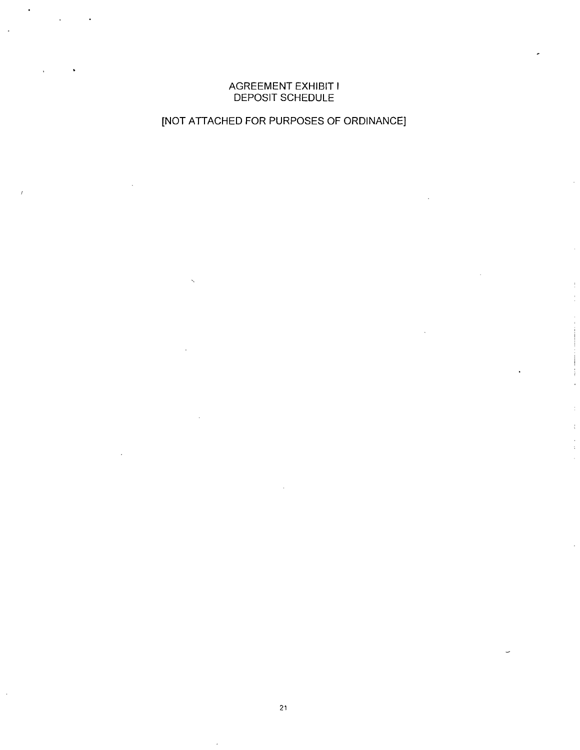#### AGREEMENT EXHIBIT I DEPOSIT SCHEDULE

## [NOT ATTACHED FOR PURPOSES OF ORDINANCE]

**21**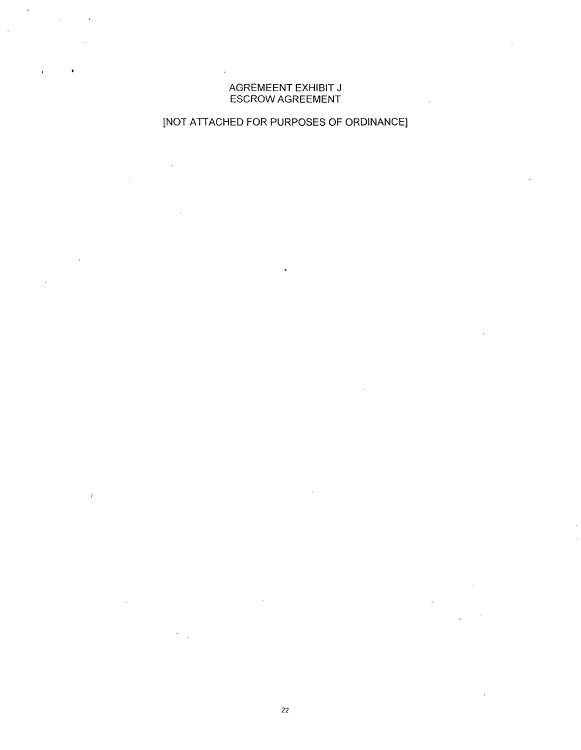#### AGREMEENT EXHIBIT J ESCROW AGREEMENT

## [NOT ATTACHED FOR PURPOSES OF ORDINANCE]

22

 $\bar{t}$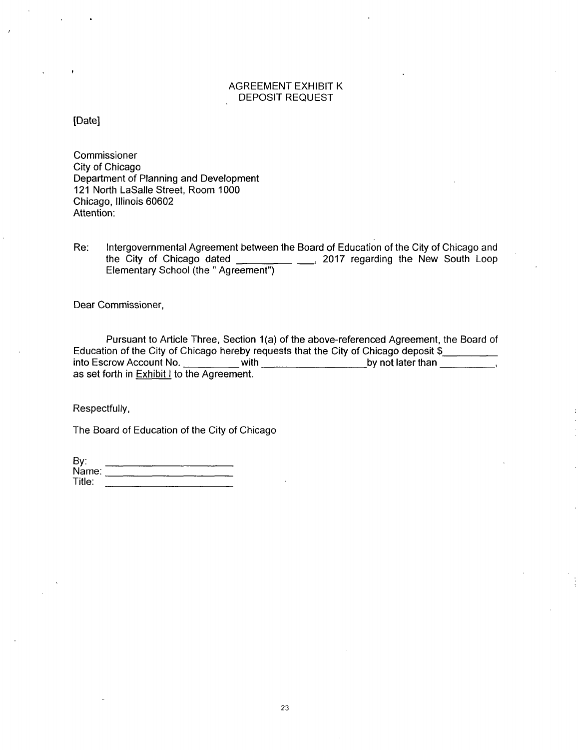#### AGREEMENT EXHIBIT K DEPOSIT REQUEST

[Date]

Commissioner City of Chicago Department of Planning and Development 121 North LaSalle Street, Room 1000 Chicago, Illinois 60602 Attention:

Re: Intergovernmental Agreement between the Board of Education of the City of Chicago and the City of Chicago dated \_\_\_\_\_\_\_\_ \_\_\_, 2017 regarding the New South Loop Elementary School (the " Agreement")

Dear Commissioner,

Pursuant to Article Three, Section 1(a) of the above-referenced Agreement, the Board of Education of the City of Chicago hereby requests that the City of Chicago deposit \$<br>into Escrow Account No. with with by not later than with  $\frac{1}{\sqrt{1-\frac{1}{2}}\sqrt{1-\frac{1}{2}}\sqrt{1-\frac{1}{2}}\sqrt{1-\frac{1}{2}}\sqrt{1-\frac{1}{2}}\sqrt{1-\frac{1}{2}}\sqrt{1-\frac{1}{2}}\sqrt{1-\frac{1}{2}}\sqrt{1-\frac{1}{2}}\sqrt{1-\frac{1}{2}}\sqrt{1-\frac{1}{2}}\sqrt{1-\frac{1}{2}}\sqrt{1-\frac{1}{2}}\sqrt{1-\frac{1}{2}}\sqrt{1-\frac{1}{2}}\sqrt{1-\frac{1}{2}}\sqrt{1-\frac{1}{2}}\sqrt{1-\frac{1}{2}}\sqrt{1-\frac{1}{2}}\$ as set forth in **Exhibit I** to the Agreement.

Respectfully,

The Board of Education of the City of Chicago

| By:    |  |
|--------|--|
| Name:  |  |
| Title: |  |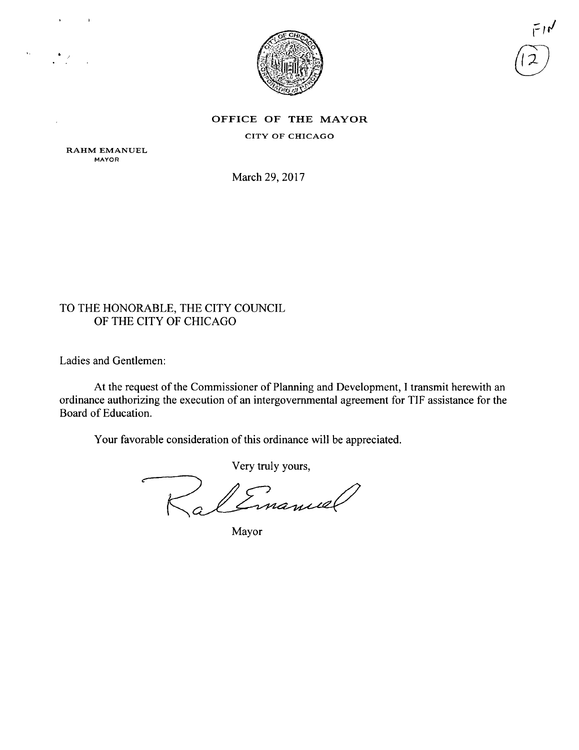

لارس

#### OFFICE OF THE MAYOR

CITY OF CHICAGO

RAHM EMANUEL MAYOR

 $\bar{\Omega}$ 

March 29, 2017

## TO THE HONORABLE, THE CITY COUNCIL OF THE CITY OF CHICAGO

Ladies and Gentlemen:

At the request of the Commissioner of Planning and Development, 1 transmit herewith an ordinance authorizing the execution of an intergovernmental agreement for TIF assistance for the Board of Education.

Your favorable consideration of this ordinance will be appreciated.

Very truly yours.

Linancel

Mayor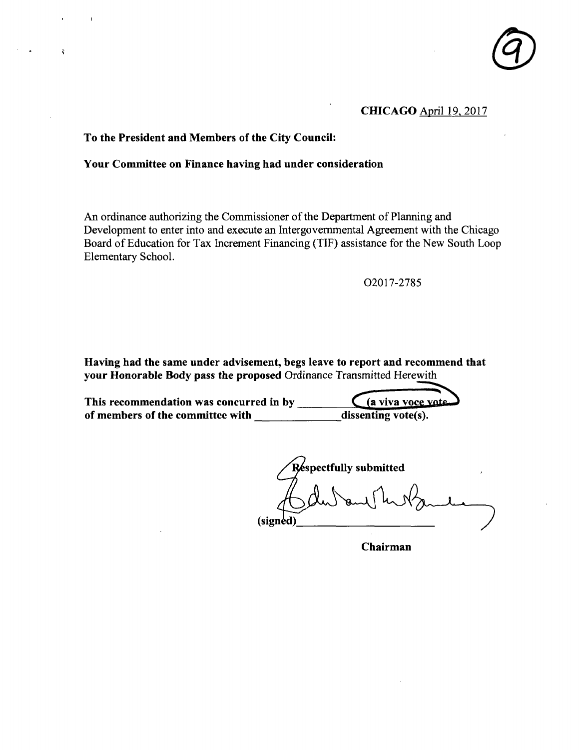

### CHICAGO April 19.2017

#### **To the President and Members of the City Council:**

#### **Your Committee on Finance having had under consideration**

An ordinance authorizing the Commissioner of the Department of Planning and Development to enter into and execute an Intergovernmental Agreement with the Chicago Board of Education for Tax Increment Financing (TIF) assistance for the New South Loop Elementary School.

02017-2785

Having had the same under advisement, begs leave to report and recommend that your Honorable Body pass the proposed Ordinance Transmitted Herewith

**This recommendation was concurred in by**  (a viva voce vote of members of the committee with dissenting vote(s).

**(signed) spectfuUy submitted** 

**Chairman**